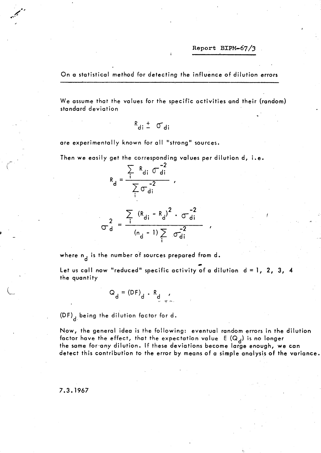On a statistical method for detecting the influence of dilution errors

We assume that the values for the specific activities and their (random) standard deviation

$$
R_{di} \pm \sigma_{di}
$$

are experimentally known for all "strong" sources.

Then we easily get the corresponding values per dilution d, i.e.

$$
R_{d} = \frac{\sum_{i} R_{di} \sigma_{di}^{-2}}{\sum_{i} \sigma_{di}} ,
$$

$$
\sigma_{d}^{2} = \frac{\sum_{i} (R_{di} - R_{d})^{2} \cdot \sigma_{di}^{-2}}{(n_{d} - 1) \sum_{i} \sigma_{di}^{-2}}
$$

where  $n_A$  is the number of sources prepared from d.

Let us call now "reduced" specific activity of a dilution  $d = 1$ , 2, 3, 4 the quantity

$$
Q_d = (DF)_d \cdot R_d
$$

 $(DF)$ <sub>d</sub> being the dilution factor for d.

Now, the general idea is the following: eventual random errors in the dilution factor have the effect, that the expectation value  $E(Q_A)$  is no longer the same for any dilution. If these deviations become large enough, we can detect this contribution to the error by means of a simple analysis of the variance.

7.3.1967